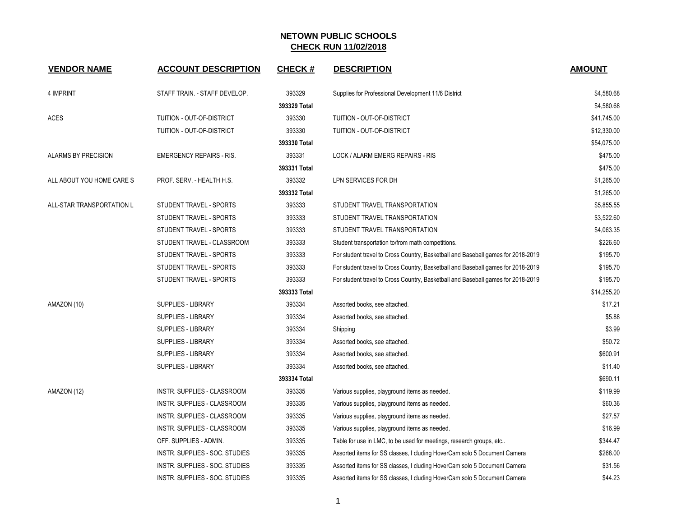| <b>VENDOR NAME</b>         | <b>ACCOUNT DESCRIPTION</b>            | <b>CHECK#</b> | <b>DESCRIPTION</b>                                                               | <b>AMOUNT</b> |
|----------------------------|---------------------------------------|---------------|----------------------------------------------------------------------------------|---------------|
| 4 IMPRINT                  | STAFF TRAIN. - STAFF DEVELOP.         | 393329        | Supplies for Professional Development 11/6 District                              | \$4,580.68    |
|                            |                                       | 393329 Total  |                                                                                  | \$4,580.68    |
| <b>ACES</b>                | TUITION - OUT-OF-DISTRICT             | 393330        | TUITION - OUT-OF-DISTRICT                                                        | \$41,745.00   |
|                            | TUITION - OUT-OF-DISTRICT             | 393330        | TUITION - OUT-OF-DISTRICT                                                        | \$12,330.00   |
|                            |                                       | 393330 Total  |                                                                                  | \$54,075.00   |
| <b>ALARMS BY PRECISION</b> | <b>EMERGENCY REPAIRS - RIS.</b>       | 393331        | LOCK / ALARM EMERG REPAIRS - RIS                                                 | \$475.00      |
|                            |                                       | 393331 Total  |                                                                                  | \$475.00      |
| ALL ABOUT YOU HOME CARE S  | PROF. SERV. - HEALTH H.S.             | 393332        | LPN SERVICES FOR DH                                                              | \$1,265.00    |
|                            |                                       | 393332 Total  |                                                                                  | \$1,265.00    |
| ALL-STAR TRANSPORTATION L  | STUDENT TRAVEL - SPORTS               | 393333        | STUDENT TRAVEL TRANSPORTATION                                                    | \$5,855.55    |
|                            | STUDENT TRAVEL - SPORTS               | 393333        | STUDENT TRAVEL TRANSPORTATION                                                    | \$3,522.60    |
|                            | STUDENT TRAVEL - SPORTS               | 393333        | STUDENT TRAVEL TRANSPORTATION                                                    | \$4,063.35    |
|                            | STUDENT TRAVEL - CLASSROOM            | 393333        | Student transportation to/from math competitions.                                | \$226.60      |
|                            | STUDENT TRAVEL - SPORTS               | 393333        | For student travel to Cross Country, Basketball and Baseball games for 2018-2019 | \$195.70      |
|                            | STUDENT TRAVEL - SPORTS               | 393333        | For student travel to Cross Country, Basketball and Baseball games for 2018-2019 | \$195.70      |
|                            | STUDENT TRAVEL - SPORTS               | 393333        | For student travel to Cross Country, Basketball and Baseball games for 2018-2019 | \$195.70      |
|                            |                                       | 393333 Total  |                                                                                  | \$14,255.20   |
| AMAZON (10)                | <b>SUPPLIES - LIBRARY</b>             | 393334        | Assorted books, see attached.                                                    | \$17.21       |
|                            | SUPPLIES - LIBRARY                    | 393334        | Assorted books, see attached.                                                    | \$5.88        |
|                            | SUPPLIES - LIBRARY                    | 393334        | Shipping                                                                         | \$3.99        |
|                            | SUPPLIES - LIBRARY                    | 393334        | Assorted books, see attached.                                                    | \$50.72       |
|                            | <b>SUPPLIES - LIBRARY</b>             | 393334        | Assorted books, see attached.                                                    | \$600.91      |
|                            | <b>SUPPLIES - LIBRARY</b>             | 393334        | Assorted books, see attached.                                                    | \$11.40       |
|                            |                                       | 393334 Total  |                                                                                  | \$690.11      |
| AMAZON (12)                | INSTR. SUPPLIES - CLASSROOM           | 393335        | Various supplies, playground items as needed.                                    | \$119.99      |
|                            | INSTR. SUPPLIES - CLASSROOM           | 393335        | Various supplies, playground items as needed.                                    | \$60.36       |
|                            | INSTR. SUPPLIES - CLASSROOM           | 393335        | Various supplies, playground items as needed.                                    | \$27.57       |
|                            | INSTR. SUPPLIES - CLASSROOM           | 393335        | Various supplies, playground items as needed.                                    | \$16.99       |
|                            | OFF. SUPPLIES - ADMIN.                | 393335        | Table for use in LMC, to be used for meetings, research groups, etc              | \$344.47      |
|                            | INSTR. SUPPLIES - SOC. STUDIES        | 393335        | Assorted items for SS classes, I cluding HoverCam solo 5 Document Camera         | \$268.00      |
|                            | INSTR. SUPPLIES - SOC. STUDIES        | 393335        | Assorted items for SS classes, I cluding HoverCam solo 5 Document Camera         | \$31.56       |
|                            | <b>INSTR. SUPPLIES - SOC. STUDIES</b> | 393335        | Assorted items for SS classes, I cluding HoverCam solo 5 Document Camera         | \$44.23       |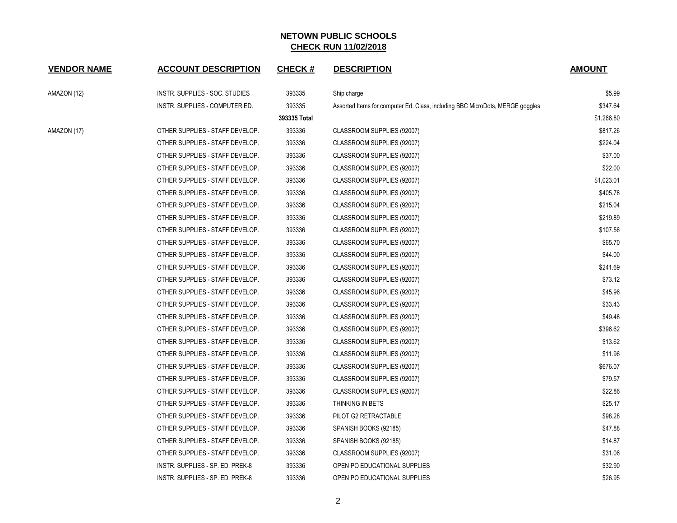| <b>VENDOR NAME</b> | <b>ACCOUNT DESCRIPTION</b>       | <b>CHECK#</b> | <b>DESCRIPTION</b>                                                            | <b>AMOUNT</b> |
|--------------------|----------------------------------|---------------|-------------------------------------------------------------------------------|---------------|
| AMAZON (12)        | INSTR. SUPPLIES - SOC. STUDIES   | 393335        | Ship charge                                                                   | \$5.99        |
|                    | INSTR. SUPPLIES - COMPUTER ED.   | 393335        | Assorted Items for computer Ed. Class, including BBC MicroDots, MERGE goggles | \$347.64      |
|                    |                                  | 393335 Total  |                                                                               | \$1,266.80    |
| AMAZON (17)        | OTHER SUPPLIES - STAFF DEVELOP.  | 393336        | CLASSROOM SUPPLIES (92007)                                                    | \$817.26      |
|                    | OTHER SUPPLIES - STAFF DEVELOP.  | 393336        | CLASSROOM SUPPLIES (92007)                                                    | \$224.04      |
|                    | OTHER SUPPLIES - STAFF DEVELOP.  | 393336        | CLASSROOM SUPPLIES (92007)                                                    | \$37.00       |
|                    | OTHER SUPPLIES - STAFF DEVELOP.  | 393336        | CLASSROOM SUPPLIES (92007)                                                    | \$22.00       |
|                    | OTHER SUPPLIES - STAFF DEVELOP.  | 393336        | CLASSROOM SUPPLIES (92007)                                                    | \$1,023.01    |
|                    | OTHER SUPPLIES - STAFF DEVELOP.  | 393336        | CLASSROOM SUPPLIES (92007)                                                    | \$405.78      |
|                    | OTHER SUPPLIES - STAFF DEVELOP.  | 393336        | CLASSROOM SUPPLIES (92007)                                                    | \$215.04      |
|                    | OTHER SUPPLIES - STAFF DEVELOP.  | 393336        | CLASSROOM SUPPLIES (92007)                                                    | \$219.89      |
|                    | OTHER SUPPLIES - STAFF DEVELOP.  | 393336        | CLASSROOM SUPPLIES (92007)                                                    | \$107.56      |
|                    | OTHER SUPPLIES - STAFF DEVELOP.  | 393336        | CLASSROOM SUPPLIES (92007)                                                    | \$65.70       |
|                    | OTHER SUPPLIES - STAFF DEVELOP.  | 393336        | CLASSROOM SUPPLIES (92007)                                                    | \$44.00       |
|                    | OTHER SUPPLIES - STAFF DEVELOP.  | 393336        | CLASSROOM SUPPLIES (92007)                                                    | \$241.69      |
|                    | OTHER SUPPLIES - STAFF DEVELOP.  | 393336        | CLASSROOM SUPPLIES (92007)                                                    | \$73.12       |
|                    | OTHER SUPPLIES - STAFF DEVELOP.  | 393336        | CLASSROOM SUPPLIES (92007)                                                    | \$45.96       |
|                    | OTHER SUPPLIES - STAFF DEVELOP.  | 393336        | CLASSROOM SUPPLIES (92007)                                                    | \$33.43       |
|                    | OTHER SUPPLIES - STAFF DEVELOP.  | 393336        | CLASSROOM SUPPLIES (92007)                                                    | \$49.48       |
|                    | OTHER SUPPLIES - STAFF DEVELOP.  | 393336        | CLASSROOM SUPPLIES (92007)                                                    | \$396.62      |
|                    | OTHER SUPPLIES - STAFF DEVELOP.  | 393336        | CLASSROOM SUPPLIES (92007)                                                    | \$13.62       |
|                    | OTHER SUPPLIES - STAFF DEVELOP.  | 393336        | CLASSROOM SUPPLIES (92007)                                                    | \$11.96       |
|                    | OTHER SUPPLIES - STAFF DEVELOP.  | 393336        | CLASSROOM SUPPLIES (92007)                                                    | \$676.07      |
|                    | OTHER SUPPLIES - STAFF DEVELOP.  | 393336        | CLASSROOM SUPPLIES (92007)                                                    | \$79.57       |
|                    | OTHER SUPPLIES - STAFF DEVELOP.  | 393336        | CLASSROOM SUPPLIES (92007)                                                    | \$22.86       |
|                    | OTHER SUPPLIES - STAFF DEVELOP.  | 393336        | THINKING IN BETS                                                              | \$25.17       |
|                    | OTHER SUPPLIES - STAFF DEVELOP.  | 393336        | PILOT G2 RETRACTABLE                                                          | \$98.28       |
|                    | OTHER SUPPLIES - STAFF DEVELOP.  | 393336        | SPANISH BOOKS (92185)                                                         | \$47.88       |
|                    | OTHER SUPPLIES - STAFF DEVELOP.  | 393336        | SPANISH BOOKS (92185)                                                         | \$14.87       |
|                    | OTHER SUPPLIES - STAFF DEVELOP.  | 393336        | CLASSROOM SUPPLIES (92007)                                                    | \$31.06       |
|                    | INSTR. SUPPLIES - SP. ED. PREK-8 | 393336        | OPEN PO EDUCATIONAL SUPPLIES                                                  | \$32.90       |
|                    | INSTR. SUPPLIES - SP. ED. PREK-8 | 393336        | OPEN PO EDUCATIONAL SUPPLIES                                                  | \$26.95       |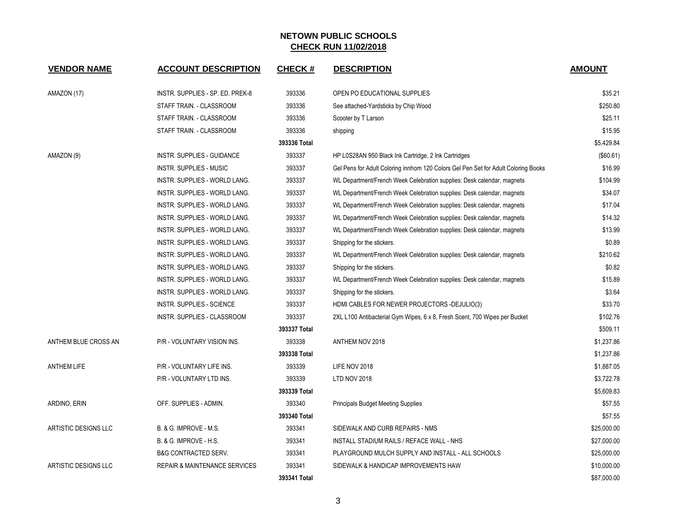| <b>VENDOR NAME</b>          | <b>ACCOUNT DESCRIPTION</b>               | <b>CHECK#</b> | <b>DESCRIPTION</b>                                                                 | <b>AMOUNT</b> |
|-----------------------------|------------------------------------------|---------------|------------------------------------------------------------------------------------|---------------|
| AMAZON (17)                 | INSTR. SUPPLIES - SP. ED. PREK-8         | 393336        | OPEN PO EDUCATIONAL SUPPLIES                                                       | \$35.21       |
|                             | STAFF TRAIN. - CLASSROOM                 | 393336        | See attached-Yardsticks by Chip Wood                                               | \$250.80      |
|                             | STAFF TRAIN. - CLASSROOM                 | 393336        | Scooter by T Larson                                                                | \$25.11       |
|                             | STAFF TRAIN. - CLASSROOM                 | 393336        | shipping                                                                           | \$15.95       |
|                             |                                          | 393336 Total  |                                                                                    | \$5,429.84    |
| AMAZON (9)                  | <b>INSTR. SUPPLIES - GUIDANCE</b>        | 393337        | HP L0S28AN 950 Black Ink Cartridge, 2 Ink Cartridges                               | (\$60.61)     |
|                             | <b>INSTR. SUPPLIES - MUSIC</b>           | 393337        | Gel Pens for Adult Coloring innhom 120 Colors Gel Pen Set for Adult Coloring Books | \$16.99       |
|                             | INSTR. SUPPLIES - WORLD LANG.            | 393337        | WL Department/French Week Celebration supplies: Desk calendar, magnets             | \$104.99      |
|                             | INSTR. SUPPLIES - WORLD LANG.            | 393337        | WL Department/French Week Celebration supplies: Desk calendar, magnets             | \$34.07       |
|                             | INSTR. SUPPLIES - WORLD LANG.            | 393337        | WL Department/French Week Celebration supplies: Desk calendar, magnets             | \$17.04       |
|                             | INSTR. SUPPLIES - WORLD LANG.            | 393337        | WL Department/French Week Celebration supplies: Desk calendar, magnets             | \$14.32       |
|                             | INSTR. SUPPLIES - WORLD LANG.            | 393337        | WL Department/French Week Celebration supplies: Desk calendar, magnets             | \$13.99       |
|                             | INSTR. SUPPLIES - WORLD LANG.            | 393337        | Shipping for the stickers.                                                         | \$0.89        |
|                             | INSTR. SUPPLIES - WORLD LANG.            | 393337        | WL Department/French Week Celebration supplies: Desk calendar, magnets             | \$210.62      |
|                             | <b>INSTR. SUPPLIES - WORLD LANG.</b>     | 393337        | Shipping for the stickers.                                                         | \$0.82        |
|                             | INSTR. SUPPLIES - WORLD LANG.            | 393337        | WL Department/French Week Celebration supplies: Desk calendar, magnets             | \$15.89       |
|                             | INSTR. SUPPLIES - WORLD LANG.            | 393337        | Shipping for the stickers.                                                         | \$3.64        |
|                             | INSTR. SUPPLIES - SCIENCE                | 393337        | HDMI CABLES FOR NEWER PROJECTORS -DEJULIO(3)                                       | \$33.70       |
|                             | INSTR. SUPPLIES - CLASSROOM              | 393337        | 2XL L100 Antibacterial Gym Wipes, 6 x 8, Fresh Scent, 700 Wipes per Bucket         | \$102.76      |
|                             |                                          | 393337 Total  |                                                                                    | \$509.11      |
| ANTHEM BLUE CROSS AN        | P/R - VOLUNTARY VISION INS.              | 393338        | ANTHEM NOV 2018                                                                    | \$1,237.86    |
|                             |                                          | 393338 Total  |                                                                                    | \$1,237.86    |
| <b>ANTHEM LIFE</b>          | P/R - VOLUNTARY LIFE INS.                | 393339        | LIFE NOV 2018                                                                      | \$1,887.05    |
|                             | P/R - VOLUNTARY LTD INS.                 | 393339        | <b>LTD NOV 2018</b>                                                                | \$3,722.78    |
|                             |                                          | 393339 Total  |                                                                                    | \$5,609.83    |
| ARDINO, ERIN                | OFF. SUPPLIES - ADMIN.                   | 393340        | <b>Principals Budget Meeting Supplies</b>                                          | \$57.55       |
|                             |                                          | 393340 Total  |                                                                                    | \$57.55       |
| <b>ARTISTIC DESIGNS LLC</b> | B. & G. IMPROVE - M.S.                   | 393341        | SIDEWALK AND CURB REPAIRS - NMS                                                    | \$25,000.00   |
|                             | B. & G. IMPROVE - H.S.                   | 393341        | INSTALL STADIUM RAILS / REFACE WALL - NHS                                          | \$27,000.00   |
|                             | <b>B&amp;G CONTRACTED SERV.</b>          | 393341        | PLAYGROUND MULCH SUPPLY AND INSTALL - ALL SCHOOLS                                  | \$25,000.00   |
| ARTISTIC DESIGNS LLC        | <b>REPAIR &amp; MAINTENANCE SERVICES</b> | 393341        | SIDEWALK & HANDICAP IMPROVEMENTS HAW                                               | \$10,000.00   |
|                             |                                          | 393341 Total  |                                                                                    | \$87,000.00   |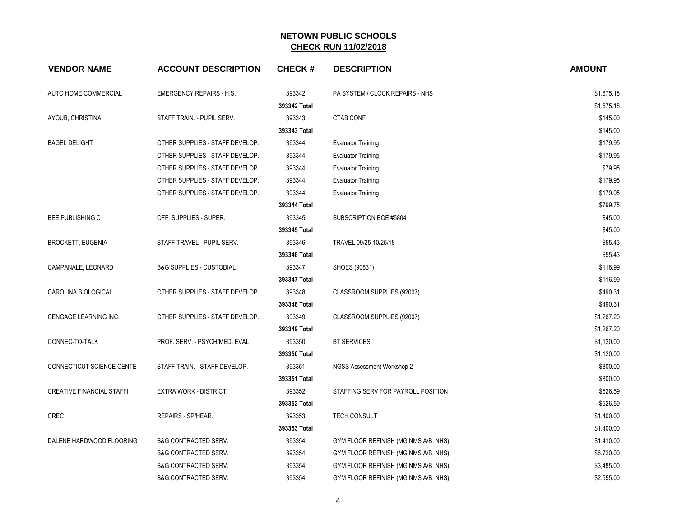| <b>VENDOR NAME</b>               | <b>ACCOUNT DESCRIPTION</b>          | <b>CHECK#</b> | <b>DESCRIPTION</b>                    | <b>AMOUNT</b> |
|----------------------------------|-------------------------------------|---------------|---------------------------------------|---------------|
| AUTO HOME COMMERCIAL             | <b>EMERGENCY REPAIRS - H.S.</b>     | 393342        | PA SYSTEM / CLOCK REPAIRS - NHS       | \$1,675.18    |
|                                  |                                     | 393342 Total  |                                       | \$1,675.18    |
| AYOUB, CHRISTINA                 | STAFF TRAIN. - PUPIL SERV.          | 393343        | <b>CTAB CONF</b>                      | \$145.00      |
|                                  |                                     | 393343 Total  |                                       | \$145.00      |
| <b>BAGEL DELIGHT</b>             | OTHER SUPPLIES - STAFF DEVELOP.     | 393344        | <b>Evaluator Training</b>             | \$179.95      |
|                                  | OTHER SUPPLIES - STAFF DEVELOP.     | 393344        | <b>Evaluator Training</b>             | \$179.95      |
|                                  | OTHER SUPPLIES - STAFF DEVELOP.     | 393344        | <b>Evaluator Training</b>             | \$79.95       |
|                                  | OTHER SUPPLIES - STAFF DEVELOP.     | 393344        | <b>Evaluator Training</b>             | \$179.95      |
|                                  | OTHER SUPPLIES - STAFF DEVELOP.     | 393344        | <b>Evaluator Training</b>             | \$179.95      |
|                                  |                                     | 393344 Total  |                                       | \$799.75      |
| <b>BEE PUBLISHING C</b>          | OFF. SUPPLIES - SUPER.              | 393345        | SUBSCRIPTION BOE #5804                | \$45.00       |
|                                  |                                     | 393345 Total  |                                       | \$45.00       |
| <b>BROCKETT, EUGENIA</b>         | STAFF TRAVEL - PUPIL SERV.          | 393346        | TRAVEL 09/25-10/25/18                 | \$55.43       |
|                                  |                                     | 393346 Total  |                                       | \$55.43       |
| CAMPANALE, LEONARD               | <b>B&amp;G SUPPLIES - CUSTODIAL</b> | 393347        | SHOES (90831)                         | \$116.99      |
|                                  |                                     | 393347 Total  |                                       | \$116.99      |
| CAROLINA BIOLOGICAL              | OTHER SUPPLIES - STAFF DEVELOP.     | 393348        | CLASSROOM SUPPLIES (92007)            | \$490.31      |
|                                  |                                     | 393348 Total  |                                       | \$490.31      |
| CENGAGE LEARNING INC.            | OTHER SUPPLIES - STAFF DEVELOP.     | 393349        | CLASSROOM SUPPLIES (92007)            | \$1,267.20    |
|                                  |                                     | 393349 Total  |                                       | \$1,267.20    |
| CONNEC-TO-TALK                   | PROF. SERV. - PSYCH/MED. EVAL.      | 393350        | <b>BT SERVICES</b>                    | \$1,120.00    |
|                                  |                                     | 393350 Total  |                                       | \$1,120.00    |
| CONNECTICUT SCIENCE CENTE        | STAFF TRAIN. - STAFF DEVELOP.       | 393351        | NGSS Assessment Workshop 2            | \$800.00      |
|                                  |                                     | 393351 Total  |                                       | \$800.00      |
| <b>CREATIVE FINANCIAL STAFFI</b> | <b>EXTRA WORK - DISTRICT</b>        | 393352        | STAFFING SERV FOR PAYROLL POSITION    | \$526.59      |
|                                  |                                     | 393352 Total  |                                       | \$526.59      |
| <b>CREC</b>                      | REPAIRS - SP/HEAR.                  | 393353        | <b>TECH CONSULT</b>                   | \$1,400.00    |
|                                  |                                     | 393353 Total  |                                       | \$1,400.00    |
| DALENE HARDWOOD FLOORING         | <b>B&amp;G CONTRACTED SERV.</b>     | 393354        | GYM FLOOR REFINISH (MG, NMS A/B, NHS) | \$1,410.00    |
|                                  | <b>B&amp;G CONTRACTED SERV.</b>     | 393354        | GYM FLOOR REFINISH (MG, NMS A/B, NHS) | \$6,720.00    |
|                                  | <b>B&amp;G CONTRACTED SERV.</b>     | 393354        | GYM FLOOR REFINISH (MG, NMS A/B, NHS) | \$3,485.00    |
|                                  | <b>B&amp;G CONTRACTED SERV.</b>     | 393354        | GYM FLOOR REFINISH (MG, NMS A/B, NHS) | \$2,555.00    |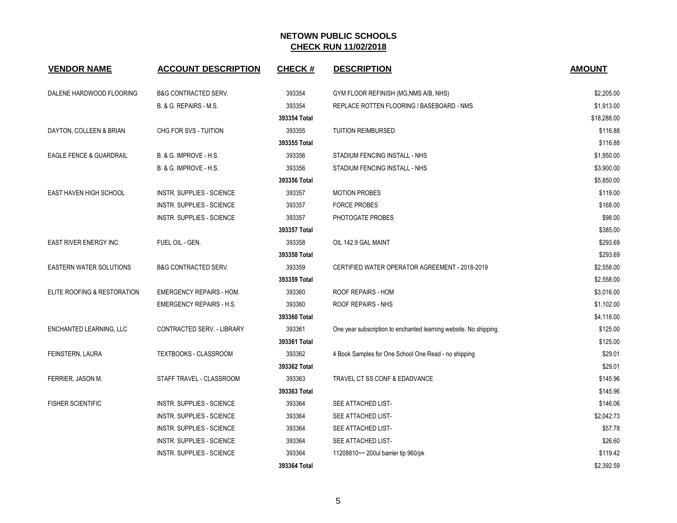| <b>VENDOR NAME</b>                 | <b>ACCOUNT DESCRIPTION</b>        | <b>CHECK#</b> | <b>DESCRIPTION</b>                                                | <b>AMOUNT</b> |
|------------------------------------|-----------------------------------|---------------|-------------------------------------------------------------------|---------------|
| DALENE HARDWOOD FLOORING           | <b>B&amp;G CONTRACTED SERV.</b>   | 393354        | GYM FLOOR REFINISH (MG, NMS A/B, NHS)                             | \$2,205.00    |
|                                    | B. & G. REPAIRS - M.S.            | 393354        | REPLACE ROTTEN FLOORING / BASEBOARD - NMS                         | \$1,913.00    |
|                                    |                                   | 393354 Total  |                                                                   | \$18,288.00   |
| DAYTON, COLLEEN & BRIAN            | CHG FOR SVS - TUITION             | 393355        | <b>TUITION REIMBURSED</b>                                         | \$116.88      |
|                                    |                                   | 393355 Total  |                                                                   | \$116.88      |
| <b>EAGLE FENCE &amp; GUARDRAIL</b> | B. & G. IMPROVE - H.S.            | 393356        | STADIUM FENCING INSTALL - NHS                                     | \$1,950.00    |
|                                    | <b>B. &amp; G. IMPROVE - H.S.</b> | 393356        | STADIUM FENCING INSTALL - NHS                                     | \$3,900.00    |
|                                    |                                   | 393356 Total  |                                                                   | \$5,850.00    |
| <b>EAST HAVEN HIGH SCHOOL</b>      | <b>INSTR. SUPPLIES - SCIENCE</b>  | 393357        | <b>MOTION PROBES</b>                                              | \$119.00      |
|                                    | INSTR. SUPPLIES - SCIENCE         | 393357        | <b>FORCE PROBES</b>                                               | \$168.00      |
|                                    | <b>INSTR. SUPPLIES - SCIENCE</b>  | 393357        | PHOTOGATE PROBES                                                  | \$98.00       |
|                                    |                                   | 393357 Total  |                                                                   | \$385.00      |
| EAST RIVER ENERGY INC.             | FUEL OIL - GEN.                   | 393358        | OIL 142.9 GAL MAINT                                               | \$293.69      |
|                                    |                                   | 393358 Total  |                                                                   | \$293.69      |
| <b>EASTERN WATER SOLUTIONS</b>     | <b>B&amp;G CONTRACTED SERV.</b>   | 393359        | CERTIFIED WATER OPERATOR AGREEMENT - 2018-2019                    | \$2,558.00    |
|                                    |                                   | 393359 Total  |                                                                   | \$2,558.00    |
| ELITE ROOFING & RESTORATION        | <b>EMERGENCY REPAIRS - HOM.</b>   | 393360        | ROOF REPAIRS - HOM                                                | \$3,016.00    |
|                                    | <b>EMERGENCY REPAIRS - H.S.</b>   | 393360        | ROOF REPAIRS - NHS                                                | \$1,102.00    |
|                                    |                                   | 393360 Total  |                                                                   | \$4,118.00    |
| ENCHANTED LEARNING, LLC            | CONTRACTED SERV. - LIBRARY        | 393361        | One year subscription to enchanted learning website. No shipping. | \$125.00      |
|                                    |                                   | 393361 Total  |                                                                   | \$125.00      |
| FEINSTERN, LAURA                   | <b>TEXTBOOKS - CLASSROOM</b>      | 393362        | 4 Book Samples for One School One Read - no shipping              | \$29.01       |
|                                    |                                   | 393362 Total  |                                                                   | \$29.01       |
| FERRIER, JASON M.                  | STAFF TRAVEL - CLASSROOM          | 393363        | TRAVEL CT SS CONF & EDADVANCE                                     | \$145.96      |
|                                    |                                   | 393363 Total  |                                                                   | \$145.96      |
| <b>FISHER SCIENTIFIC</b>           | <b>INSTR. SUPPLIES - SCIENCE</b>  | 393364        | SEE ATTACHED LIST-                                                | \$146.06      |
|                                    | <b>INSTR. SUPPLIES - SCIENCE</b>  | 393364        | SEE ATTACHED LIST-                                                | \$2,042.73    |
|                                    | <b>INSTR. SUPPLIES - SCIENCE</b>  | 393364        | SEE ATTACHED LIST-                                                | \$57.78       |
|                                    | <b>INSTR. SUPPLIES - SCIENCE</b>  | 393364        | SEE ATTACHED LIST-                                                | \$26.60       |
|                                    | <b>INSTR. SUPPLIES - SCIENCE</b>  | 393364        | 11208810~~ 200ul barrier tip 960/pk                               | \$119.42      |
|                                    |                                   | 393364 Total  |                                                                   | \$2,392.59    |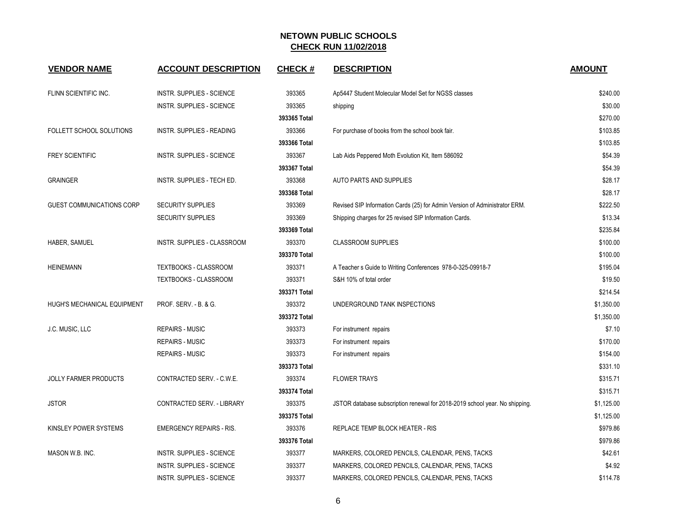| <b>VENDOR NAME</b>           | <b>ACCOUNT DESCRIPTION</b>       | <b>CHECK#</b> | <b>DESCRIPTION</b>                                                          | <b>AMOUNT</b> |
|------------------------------|----------------------------------|---------------|-----------------------------------------------------------------------------|---------------|
| FLINN SCIENTIFIC INC.        | INSTR. SUPPLIES - SCIENCE        | 393365        | Ap5447 Student Molecular Model Set for NGSS classes                         | \$240.00      |
|                              | <b>INSTR. SUPPLIES - SCIENCE</b> | 393365        | shipping                                                                    | \$30.00       |
|                              |                                  | 393365 Total  |                                                                             | \$270.00      |
| FOLLETT SCHOOL SOLUTIONS     | <b>INSTR. SUPPLIES - READING</b> | 393366        | For purchase of books from the school book fair.                            | \$103.85      |
|                              |                                  | 393366 Total  |                                                                             | \$103.85      |
| <b>FREY SCIENTIFIC</b>       | <b>INSTR. SUPPLIES - SCIENCE</b> | 393367        | Lab Aids Peppered Moth Evolution Kit, Item 586092                           | \$54.39       |
|                              |                                  | 393367 Total  |                                                                             | \$54.39       |
| <b>GRAINGER</b>              | INSTR. SUPPLIES - TECH ED.       | 393368        | AUTO PARTS AND SUPPLIES                                                     | \$28.17       |
|                              |                                  | 393368 Total  |                                                                             | \$28.17       |
| GUEST COMMUNICATIONS CORP    | <b>SECURITY SUPPLIES</b>         | 393369        | Revised SIP Information Cards (25) for Admin Version of Administrator ERM.  | \$222.50      |
|                              | <b>SECURITY SUPPLIES</b>         | 393369        | Shipping charges for 25 revised SIP Information Cards.                      | \$13.34       |
|                              |                                  | 393369 Total  |                                                                             | \$235.84      |
| HABER, SAMUEL                | INSTR. SUPPLIES - CLASSROOM      | 393370        | <b>CLASSROOM SUPPLIES</b>                                                   | \$100.00      |
|                              |                                  | 393370 Total  |                                                                             | \$100.00      |
| <b>HEINEMANN</b>             | TEXTBOOKS - CLASSROOM            | 393371        | A Teacher s Guide to Writing Conferences 978-0-325-09918-7                  | \$195.04      |
|                              | TEXTBOOKS - CLASSROOM            | 393371        | S&H 10% of total order                                                      | \$19.50       |
|                              |                                  | 393371 Total  |                                                                             | \$214.54      |
| HUGH'S MECHANICAL EQUIPMENT  | PROF. SERV. - B. & G.            | 393372        | UNDERGROUND TANK INSPECTIONS                                                | \$1,350.00    |
|                              |                                  | 393372 Total  |                                                                             | \$1,350.00    |
| J.C. MUSIC, LLC              | <b>REPAIRS - MUSIC</b>           | 393373        | For instrument repairs                                                      | \$7.10        |
|                              | REPAIRS - MUSIC                  | 393373        | For instrument repairs                                                      | \$170.00      |
|                              | <b>REPAIRS - MUSIC</b>           | 393373        | For instrument repairs                                                      | \$154.00      |
|                              |                                  | 393373 Total  |                                                                             | \$331.10      |
| <b>JOLLY FARMER PRODUCTS</b> | CONTRACTED SERV. - C.W.E.        | 393374        | <b>FLOWER TRAYS</b>                                                         | \$315.71      |
|                              |                                  | 393374 Total  |                                                                             | \$315.71      |
| <b>JSTOR</b>                 | CONTRACTED SERV. - LIBRARY       | 393375        | JSTOR database subscription renewal for 2018-2019 school year. No shipping. | \$1,125.00    |
|                              |                                  | 393375 Total  |                                                                             | \$1,125.00    |
| KINSLEY POWER SYSTEMS        | <b>EMERGENCY REPAIRS - RIS.</b>  | 393376        | REPLACE TEMP BLOCK HEATER - RIS                                             | \$979.86      |
|                              |                                  | 393376 Total  |                                                                             | \$979.86      |
| MASON W.B. INC.              | <b>INSTR. SUPPLIES - SCIENCE</b> | 393377        | MARKERS, COLORED PENCILS, CALENDAR, PENS, TACKS                             | \$42.61       |
|                              | <b>INSTR. SUPPLIES - SCIENCE</b> | 393377        | MARKERS, COLORED PENCILS, CALENDAR, PENS, TACKS                             | \$4.92        |
|                              | INSTR. SUPPLIES - SCIENCE        | 393377        | MARKERS, COLORED PENCILS, CALENDAR, PENS, TACKS                             | \$114.78      |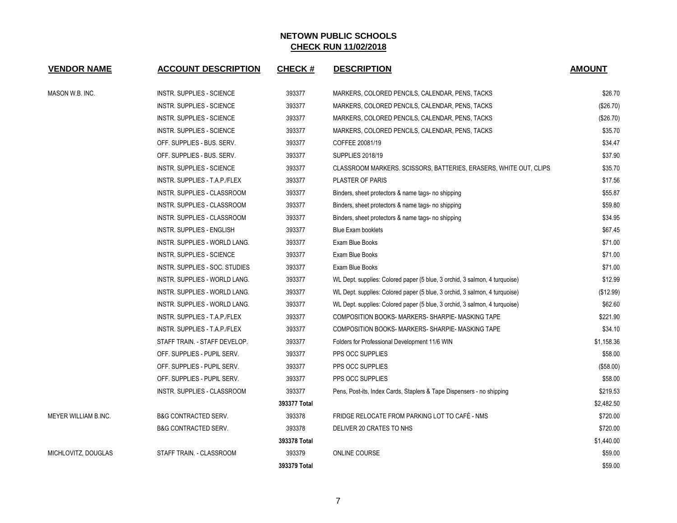| <b>VENDOR NAME</b>          | <b>ACCOUNT DESCRIPTION</b>       | <b>CHECK#</b> | <b>DESCRIPTION</b>                                                         | <b>AMOUNT</b> |
|-----------------------------|----------------------------------|---------------|----------------------------------------------------------------------------|---------------|
| MASON W.B. INC.             | <b>INSTR. SUPPLIES - SCIENCE</b> | 393377        | MARKERS, COLORED PENCILS, CALENDAR, PENS, TACKS                            | \$26.70       |
|                             | <b>INSTR. SUPPLIES - SCIENCE</b> | 393377        | MARKERS, COLORED PENCILS, CALENDAR, PENS, TACKS                            | (\$26.70)     |
|                             | <b>INSTR. SUPPLIES - SCIENCE</b> | 393377        | MARKERS, COLORED PENCILS, CALENDAR, PENS, TACKS                            | (\$26.70)     |
|                             | INSTR. SUPPLIES - SCIENCE        | 393377        | MARKERS, COLORED PENCILS, CALENDAR, PENS, TACKS                            | \$35.70       |
|                             | OFF. SUPPLIES - BUS. SERV.       | 393377        | COFFEE 20081/19                                                            | \$34.47       |
|                             | OFF. SUPPLIES - BUS. SERV.       | 393377        | <b>SUPPLIES 2018/19</b>                                                    | \$37.90       |
|                             | <b>INSTR. SUPPLIES - SCIENCE</b> | 393377        | CLASSROOM MARKERS. SCISSORS, BATTERIES, ERASERS, WHITE OUT, CLIPS          | \$35.70       |
|                             | INSTR. SUPPLIES - T.A.P./FLEX    | 393377        | <b>PLASTER OF PARIS</b>                                                    | \$17.56       |
|                             | INSTR. SUPPLIES - CLASSROOM      | 393377        | Binders, sheet protectors & name tags- no shipping                         | \$55.87       |
|                             | INSTR. SUPPLIES - CLASSROOM      | 393377        | Binders, sheet protectors & name tags- no shipping                         | \$59.80       |
|                             | INSTR. SUPPLIES - CLASSROOM      | 393377        | Binders, sheet protectors & name tags- no shipping                         | \$34.95       |
|                             | <b>INSTR. SUPPLIES - ENGLISH</b> | 393377        | <b>Blue Exam booklets</b>                                                  | \$67.45       |
|                             | INSTR. SUPPLIES - WORLD LANG.    | 393377        | Exam Blue Books                                                            | \$71.00       |
|                             | <b>INSTR. SUPPLIES - SCIENCE</b> | 393377        | Exam Blue Books                                                            | \$71.00       |
|                             | INSTR. SUPPLIES - SOC. STUDIES   | 393377        | Exam Blue Books                                                            | \$71.00       |
|                             | INSTR. SUPPLIES - WORLD LANG.    | 393377        | WL Dept. supplies: Colored paper (5 blue, 3 orchid, 3 salmon, 4 turquoise) | \$12.99       |
|                             | INSTR. SUPPLIES - WORLD LANG.    | 393377        | WL Dept. supplies: Colored paper (5 blue, 3 orchid, 3 salmon, 4 turquoise) | (\$12.99)     |
|                             | INSTR. SUPPLIES - WORLD LANG.    | 393377        | WL Dept. supplies: Colored paper (5 blue, 3 orchid, 3 salmon, 4 turquoise) | \$62.60       |
|                             | INSTR. SUPPLIES - T.A.P./FLEX    | 393377        | COMPOSITION BOOKS- MARKERS- SHARPIE- MASKING TAPE                          | \$221.90      |
|                             | INSTR. SUPPLIES - T.A.P./FLEX    | 393377        | COMPOSITION BOOKS- MARKERS- SHARPIE- MASKING TAPE                          | \$34.10       |
|                             | STAFF TRAIN. - STAFF DEVELOP.    | 393377        | Folders for Professional Development 11/6 WIN                              | \$1,158.36    |
|                             | OFF. SUPPLIES - PUPIL SERV.      | 393377        | PPS OCC SUPPLIES                                                           | \$58.00       |
|                             | OFF. SUPPLIES - PUPIL SERV.      | 393377        | <b>PPS OCC SUPPLIES</b>                                                    | (\$58.00)     |
|                             | OFF. SUPPLIES - PUPIL SERV.      | 393377        | PPS OCC SUPPLIES                                                           | \$58.00       |
|                             | INSTR. SUPPLIES - CLASSROOM      | 393377        | Pens, Post-its, Index Cards, Staplers & Tape Dispensers - no shipping      | \$219.53      |
|                             |                                  | 393377 Total  |                                                                            | \$2,482.50    |
| <b>MEYER WILLIAM B.INC.</b> | <b>B&amp;G CONTRACTED SERV.</b>  | 393378        | FRIDGE RELOCATE FROM PARKING LOT TO CAFÉ - NMS                             | \$720.00      |
|                             | <b>B&amp;G CONTRACTED SERV.</b>  | 393378        | DELIVER 20 CRATES TO NHS                                                   | \$720.00      |
|                             |                                  | 393378 Total  |                                                                            | \$1,440.00    |
| MICHLOVITZ, DOUGLAS         | STAFF TRAIN. - CLASSROOM         | 393379        | ONLINE COURSE                                                              | \$59.00       |
|                             |                                  | 393379 Total  |                                                                            | \$59.00       |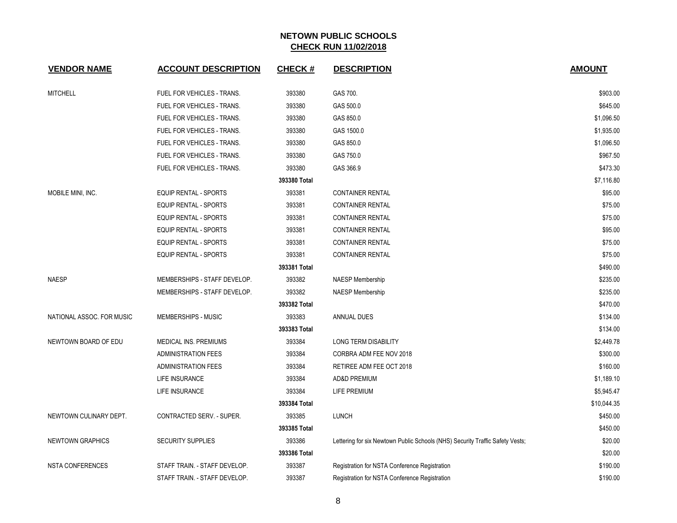| <b>VENDOR NAME</b>        | <b>ACCOUNT DESCRIPTION</b>    | <b>CHECK#</b> | <b>DESCRIPTION</b>                                                            | <b>AMOUNT</b> |
|---------------------------|-------------------------------|---------------|-------------------------------------------------------------------------------|---------------|
| <b>MITCHELL</b>           | FUEL FOR VEHICLES - TRANS.    | 393380        | GAS 700.                                                                      | \$903.00      |
|                           | FUEL FOR VEHICLES - TRANS.    | 393380        | GAS 500.0                                                                     | \$645.00      |
|                           | FUEL FOR VEHICLES - TRANS.    | 393380        | GAS 850.0                                                                     | \$1,096.50    |
|                           | FUEL FOR VEHICLES - TRANS.    | 393380        | GAS 1500.0                                                                    | \$1,935.00    |
|                           | FUEL FOR VEHICLES - TRANS.    | 393380        | GAS 850.0                                                                     | \$1,096.50    |
|                           | FUEL FOR VEHICLES - TRANS.    | 393380        | GAS 750.0                                                                     | \$967.50      |
|                           | FUEL FOR VEHICLES - TRANS.    | 393380        | GAS 366.9                                                                     | \$473.30      |
|                           |                               | 393380 Total  |                                                                               | \$7,116.80    |
| MOBILE MINI, INC.         | <b>EQUIP RENTAL - SPORTS</b>  | 393381        | <b>CONTAINER RENTAL</b>                                                       | \$95.00       |
|                           | <b>EQUIP RENTAL - SPORTS</b>  | 393381        | <b>CONTAINER RENTAL</b>                                                       | \$75.00       |
|                           | <b>EQUIP RENTAL - SPORTS</b>  | 393381        | <b>CONTAINER RENTAL</b>                                                       | \$75.00       |
|                           | <b>EQUIP RENTAL - SPORTS</b>  | 393381        | <b>CONTAINER RENTAL</b>                                                       | \$95.00       |
|                           | <b>EQUIP RENTAL - SPORTS</b>  | 393381        | <b>CONTAINER RENTAL</b>                                                       | \$75.00       |
|                           | <b>EQUIP RENTAL - SPORTS</b>  | 393381        | <b>CONTAINER RENTAL</b>                                                       | \$75.00       |
|                           |                               | 393381 Total  |                                                                               | \$490.00      |
| <b>NAESP</b>              | MEMBERSHIPS - STAFF DEVELOP.  | 393382        | NAESP Membership                                                              | \$235.00      |
|                           | MEMBERSHIPS - STAFF DEVELOP.  | 393382        | <b>NAESP Membership</b>                                                       | \$235.00      |
|                           |                               | 393382 Total  |                                                                               | \$470.00      |
| NATIONAL ASSOC. FOR MUSIC | <b>MEMBERSHIPS - MUSIC</b>    | 393383        | ANNUAL DUES                                                                   | \$134.00      |
|                           |                               | 393383 Total  |                                                                               | \$134.00      |
| NEWTOWN BOARD OF EDU      | MEDICAL INS. PREMIUMS         | 393384        | <b>LONG TERM DISABILITY</b>                                                   | \$2,449.78    |
|                           | <b>ADMINISTRATION FEES</b>    | 393384        | CORBRA ADM FEE NOV 2018                                                       | \$300.00      |
|                           | <b>ADMINISTRATION FEES</b>    | 393384        | RETIREE ADM FEE OCT 2018                                                      | \$160.00      |
|                           | LIFE INSURANCE                | 393384        | <b>AD&amp;D PREMIUM</b>                                                       | \$1,189.10    |
|                           | LIFE INSURANCE                | 393384        | <b>LIFE PREMIUM</b>                                                           | \$5,945.47    |
|                           |                               | 393384 Total  |                                                                               | \$10,044.35   |
| NEWTOWN CULINARY DEPT.    | CONTRACTED SERV. - SUPER.     | 393385        | LUNCH                                                                         | \$450.00      |
|                           |                               | 393385 Total  |                                                                               | \$450.00      |
| <b>NEWTOWN GRAPHICS</b>   | <b>SECURITY SUPPLIES</b>      | 393386        | Lettering for six Newtown Public Schools (NHS) Security Traffic Safety Vests; | \$20.00       |
|                           |                               | 393386 Total  |                                                                               | \$20.00       |
| <b>NSTA CONFERENCES</b>   | STAFF TRAIN. - STAFF DEVELOP. | 393387        | Registration for NSTA Conference Registration                                 | \$190.00      |
|                           | STAFF TRAIN. - STAFF DEVELOP. | 393387        | Registration for NSTA Conference Registration                                 | \$190.00      |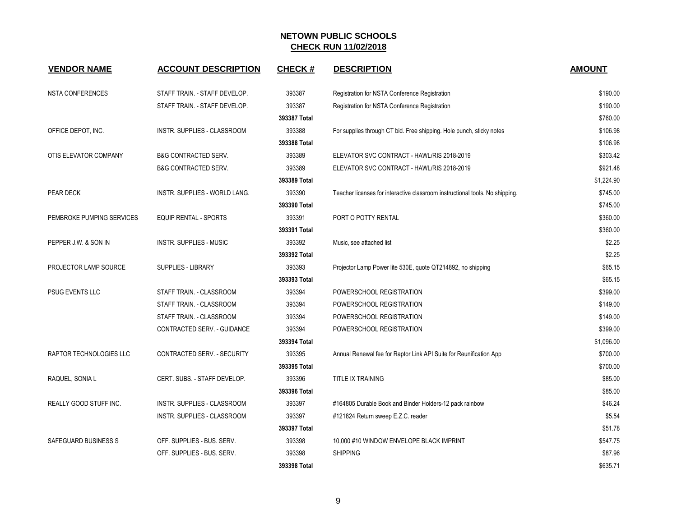| <b>VENDOR NAME</b>            | <b>ACCOUNT DESCRIPTION</b>      | <b>CHECK#</b> | <b>DESCRIPTION</b>                                                           | <b>AMOUNT</b> |
|-------------------------------|---------------------------------|---------------|------------------------------------------------------------------------------|---------------|
| <b>NSTA CONFERENCES</b>       | STAFF TRAIN. - STAFF DEVELOP.   | 393387        | Registration for NSTA Conference Registration                                | \$190.00      |
|                               | STAFF TRAIN. - STAFF DEVELOP.   | 393387        | Registration for NSTA Conference Registration                                | \$190.00      |
|                               |                                 | 393387 Total  |                                                                              | \$760.00      |
| OFFICE DEPOT, INC.            | INSTR. SUPPLIES - CLASSROOM     | 393388        | For supplies through CT bid. Free shipping. Hole punch, sticky notes         | \$106.98      |
|                               |                                 | 393388 Total  |                                                                              | \$106.98      |
| OTIS ELEVATOR COMPANY         | <b>B&amp;G CONTRACTED SERV.</b> | 393389        | ELEVATOR SVC CONTRACT - HAWL/RIS 2018-2019                                   | \$303.42      |
|                               | <b>B&amp;G CONTRACTED SERV.</b> | 393389        | ELEVATOR SVC CONTRACT - HAWL/RIS 2018-2019                                   | \$921.48      |
|                               |                                 | 393389 Total  |                                                                              | \$1,224.90    |
| PEAR DECK                     | INSTR. SUPPLIES - WORLD LANG.   | 393390        | Teacher licenses for interactive classroom instructional tools. No shipping. | \$745.00      |
|                               |                                 | 393390 Total  |                                                                              | \$745.00      |
| PEMBROKE PUMPING SERVICES     | <b>EQUIP RENTAL - SPORTS</b>    | 393391        | PORT O POTTY RENTAL                                                          | \$360.00      |
|                               |                                 | 393391 Total  |                                                                              | \$360.00      |
| PEPPER J.W. & SON IN          | <b>INSTR. SUPPLIES - MUSIC</b>  | 393392        | Music, see attached list                                                     | \$2.25        |
|                               |                                 | 393392 Total  |                                                                              | \$2.25        |
| <b>PROJECTOR LAMP SOURCE</b>  | <b>SUPPLIES - LIBRARY</b>       | 393393        | Projector Lamp Power lite 530E, quote QT214892, no shipping                  | \$65.15       |
|                               |                                 | 393393 Total  |                                                                              | \$65.15       |
| <b>PSUG EVENTS LLC</b>        | STAFF TRAIN. - CLASSROOM        | 393394        | POWERSCHOOL REGISTRATION                                                     | \$399.00      |
|                               | STAFF TRAIN. - CLASSROOM        | 393394        | POWERSCHOOL REGISTRATION                                                     | \$149.00      |
|                               | STAFF TRAIN. - CLASSROOM        | 393394        | POWERSCHOOL REGISTRATION                                                     | \$149.00      |
|                               | CONTRACTED SERV. - GUIDANCE     | 393394        | POWERSCHOOL REGISTRATION                                                     | \$399.00      |
|                               |                                 | 393394 Total  |                                                                              | \$1,096.00    |
| RAPTOR TECHNOLOGIES LLC       | CONTRACTED SERV. - SECURITY     | 393395        | Annual Renewal fee for Raptor Link API Suite for Reunification App           | \$700.00      |
|                               |                                 | 393395 Total  |                                                                              | \$700.00      |
| RAQUEL, SONIA L               | CERT. SUBS. - STAFF DEVELOP.    | 393396        | <b>TITLE IX TRAINING</b>                                                     | \$85.00       |
|                               |                                 | 393396 Total  |                                                                              | \$85.00       |
| <b>REALLY GOOD STUFF INC.</b> | INSTR. SUPPLIES - CLASSROOM     | 393397        | #164805 Durable Book and Binder Holders-12 pack rainbow                      | \$46.24       |
|                               | INSTR. SUPPLIES - CLASSROOM     | 393397        | #121824 Return sweep E.Z.C. reader                                           | \$5.54        |
|                               |                                 | 393397 Total  |                                                                              | \$51.78       |
| SAFEGUARD BUSINESS S          | OFF. SUPPLIES - BUS. SERV.      | 393398        | 10,000 #10 WINDOW ENVELOPE BLACK IMPRINT                                     | \$547.75      |
|                               | OFF. SUPPLIES - BUS. SERV.      | 393398        | <b>SHIPPING</b>                                                              | \$87.96       |
|                               |                                 | 393398 Total  |                                                                              | \$635.71      |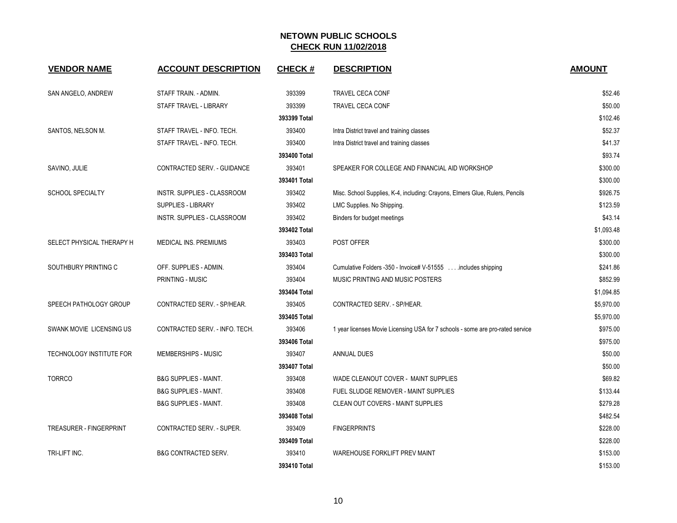| <b>VENDOR NAME</b>             | <b>ACCOUNT DESCRIPTION</b>       | <b>CHECK#</b> | <b>DESCRIPTION</b>                                                             | <b>AMOUNT</b> |
|--------------------------------|----------------------------------|---------------|--------------------------------------------------------------------------------|---------------|
| SAN ANGELO, ANDREW             | STAFF TRAIN. - ADMIN.            | 393399        | TRAVEL CECA CONF                                                               | \$52.46       |
|                                | STAFF TRAVEL - LIBRARY           | 393399        | <b>TRAVEL CECA CONF</b>                                                        | \$50.00       |
|                                |                                  | 393399 Total  |                                                                                | \$102.46      |
| SANTOS, NELSON M.              | STAFF TRAVEL - INFO. TECH.       | 393400        | Intra District travel and training classes                                     | \$52.37       |
|                                | STAFF TRAVEL - INFO. TECH.       | 393400        | Intra District travel and training classes                                     | \$41.37       |
|                                |                                  | 393400 Total  |                                                                                | \$93.74       |
| SAVINO, JULIE                  | CONTRACTED SERV. - GUIDANCE      | 393401        | SPEAKER FOR COLLEGE AND FINANCIAL AID WORKSHOP                                 | \$300.00      |
|                                |                                  | 393401 Total  |                                                                                | \$300.00      |
| <b>SCHOOL SPECIALTY</b>        | INSTR. SUPPLIES - CLASSROOM      | 393402        | Misc. School Supplies, K-4, including: Crayons, Elmers Glue, Rulers, Pencils   | \$926.75      |
|                                | SUPPLIES - LIBRARY               | 393402        | LMC Supplies. No Shipping.                                                     | \$123.59      |
|                                | INSTR. SUPPLIES - CLASSROOM      | 393402        | Binders for budget meetings                                                    | \$43.14       |
|                                |                                  | 393402 Total  |                                                                                | \$1,093.48    |
| SELECT PHYSICAL THERAPY H      | MEDICAL INS. PREMIUMS            | 393403        | POST OFFER                                                                     | \$300.00      |
|                                |                                  | 393403 Total  |                                                                                | \$300.00      |
| SOUTHBURY PRINTING C           | OFF. SUPPLIES - ADMIN.           | 393404        | Cumulative Folders -350 - Invoice# V-51555 includes shipping                   | \$241.86      |
|                                | <b>PRINTING - MUSIC</b>          | 393404        | MUSIC PRINTING AND MUSIC POSTERS                                               | \$852.99      |
|                                |                                  | 393404 Total  |                                                                                | \$1,094.85    |
| SPEECH PATHOLOGY GROUP         | CONTRACTED SERV. - SP/HEAR.      | 393405        | CONTRACTED SERV. - SP/HEAR.                                                    | \$5,970.00    |
|                                |                                  | 393405 Total  |                                                                                | \$5,970.00    |
| SWANK MOVIE LICENSING US       | CONTRACTED SERV. - INFO. TECH.   | 393406        | 1 year licenses Movie Licensing USA for 7 schools - some are pro-rated service | \$975.00      |
|                                |                                  | 393406 Total  |                                                                                | \$975.00      |
| TECHNOLOGY INSTITUTE FOR       | MEMBERSHIPS - MUSIC              | 393407        | ANNUAL DUES                                                                    | \$50.00       |
|                                |                                  | 393407 Total  |                                                                                | \$50.00       |
| <b>TORRCO</b>                  | <b>B&amp;G SUPPLIES - MAINT.</b> | 393408        | WADE CLEANOUT COVER - MAINT SUPPLIES                                           | \$69.82       |
|                                | <b>B&amp;G SUPPLIES - MAINT.</b> | 393408        | FUEL SLUDGE REMOVER - MAINT SUPPLIES                                           | \$133.44      |
|                                | <b>B&amp;G SUPPLIES - MAINT.</b> | 393408        | <b>CLEAN OUT COVERS - MAINT SUPPLIES</b>                                       | \$279.28      |
|                                |                                  | 393408 Total  |                                                                                | \$482.54      |
| <b>TREASURER - FINGERPRINT</b> | CONTRACTED SERV. - SUPER.        | 393409        | <b>FINGERPRINTS</b>                                                            | \$228.00      |
|                                |                                  | 393409 Total  |                                                                                | \$228.00      |
| TRI-LIFT INC.                  | <b>B&amp;G CONTRACTED SERV.</b>  | 393410        | WAREHOUSE FORKLIFT PREV MAINT                                                  | \$153.00      |
|                                |                                  | 393410 Total  |                                                                                | \$153.00      |